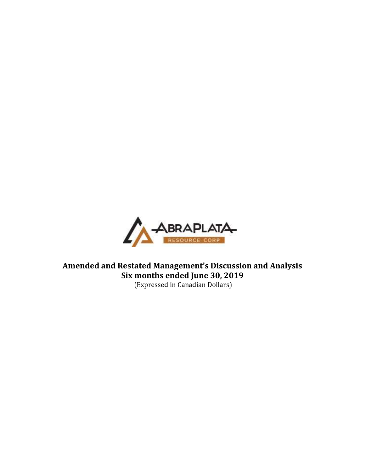

**Amended and Restated Management's Discussion and Analysis Six months ended June 30, 2019** (Expressed in Canadian Dollars)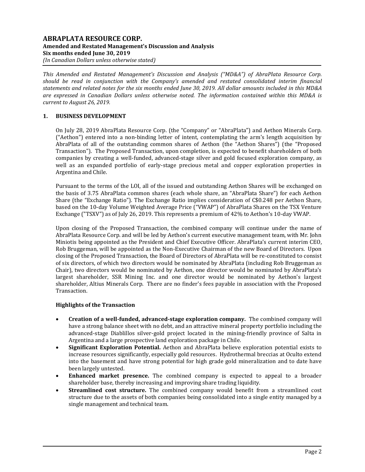# **ABRAPLATA RESOURCE CORP. Amended and Restated Management's Discussion and Analysis Six months ended June 30, 2019** *(In Canadian Dollars unless otherwise stated)*

*This Amended and Restated Management's Discussion and Analysis ("MD&A") of AbraPlata Resource Corp. should be read in conjunction with the Company's amended and restated consolidated interim financial statements and related notes for the six months ended June 30, 2019. All dollar amounts included in this MD&A are expressed in Canadian Dollars unless otherwise noted. The information contained within this MD&A is current to August 26, 2019.*

# **1. BUSINESS DEVELOPMENT**

On July 28, 2019 AbraPlata Resource Corp. (the "Company" or "AbraPlata") and Aethon Minerals Corp. ("Aethon") entered into a non-binding letter of intent, contemplating the arm's length acquisition by AbraPlata of all of the outstanding common shares of Aethon (the "Aethon Shares") (the "Proposed Transaction"). The Proposed Transaction, upon completion, is expected to benefit shareholders of both companies by creating a well-funded, advanced-stage silver and gold focused exploration company, as well as an expanded portfolio of early-stage precious metal and copper exploration properties in Argentina and Chile.

Pursuant to the terms of the LOI, all of the issued and outstanding Aethon Shares will be exchanged on the basis of 3.75 AbraPlata common shares (each whole share, an "AbraPlata Share") for each Aethon Share (the "Exchange Ratio"). The Exchange Ratio implies consideration of C\$0.248 per Aethon Share, based on the 10-day Volume Weighted Average Price ("VWAP") of AbraPlata Shares on the TSX Venture Exchange ("TSXV") as of July 26, 2019. This represents a premium of 42% to Aethon's 10-day VWAP.

Upon closing of the Proposed Transaction, the combined company will continue under the name of AbraPlata Resource Corp. and will be led by Aethon's current executive management team, with Mr. John Miniotis being appointed as the President and Chief Executive Officer. AbraPlata's current interim CEO, Rob Bruggeman, will be appointed as the Non-Executive Chairman of the new Board of Directors. Upon closing of the Proposed Transaction, the Board of Directors of AbraPlata will be re-constituted to consist of six directors, of which two directors would be nominated by AbraPlata (including Rob Bruggeman as Chair), two directors would be nominated by Aethon, one director would be nominated by AbraPlata's largest shareholder, SSR Mining Inc. and one director would be nominated by Aethon's largest shareholder, Altius Minerals Corp. There are no finder's fees payable in association with the Proposed Transaction.

# **Highlights of the Transaction**

- **Creation of a well-funded, advanced-stage exploration company.** The combined company will have a strong balance sheet with no debt, and an attractive mineral property portfolio including the advanced-stage Diablillos silver-gold project located in the mining-friendly province of Salta in Argentina and a large prospective land exploration package in Chile.
- **Significant Exploration Potential.** Aethon and AbraPlata believe exploration potential exists to increase resources significantly, especially gold resources. Hydrothermal breccias at Oculto extend into the basement and have strong potential for high grade gold mineralization and to date have been largely untested.
- **Enhanced market presence.** The combined company is expected to appeal to a broader shareholder base, thereby increasing and improving share trading liquidity.
- **Streamlined cost structure.** The combined company would benefit from a streamlined cost structure due to the assets of both companies being consolidated into a single entity managed by a single management and technical team.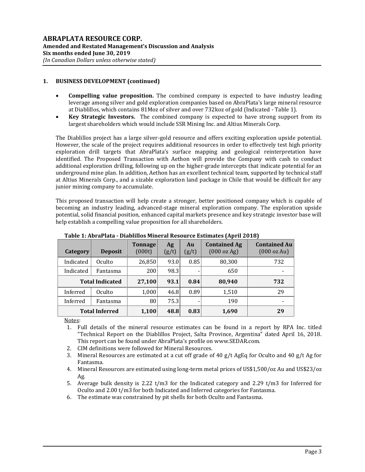# **1. BUSINESS DEVELOPMENT (continued)**

- **Compelling value proposition.** The combined company is expected to have industry leading leverage among silver and gold exploration companies based on AbraPlata's large mineral resource at Diablillos, which contains 81Moz of silver and over 732koz of gold (Indicated - Table 1).
- **Key Strategic Investors.** The combined company is expected to have strong support from its largest shareholders which would include SSR Mining Inc. and Altius Minerals Corp.

The Diablillos project has a large silver-gold resource and offers exciting exploration upside potential. However, the scale of the project requires additional resources in order to effectively test high priority exploration drill targets that AbraPlata's surface mapping and geological reinterpretation have identified. The Proposed Transaction with Aethon will provide the Company with cash to conduct additional exploration drilling, following up on the higher-grade intercepts that indicate potential for an underground mine plan. In addition, Aethon has an excellent technical team, supported by technical staff at Altius Minerals Corp., and a sizable exploration land package in Chile that would be difficult for any junior mining company to accumulate.

This proposed transaction will help create a stronger, better positioned company which is capable of becoming an industry leading, advanced-stage mineral exploration company. The exploration upside potential, solid financial position, enhanced capital markets presence and key strategic investor base will help establish a compelling value proposition for all shareholders.

| Category               | <b>Deposit</b> | <b>Tonnage</b><br>(000t) | Ag<br>(g/t) | Au<br>(g/t) | <b>Contained Ag</b><br>$(000 \text{ oz Ag})$ | <b>Contained Au</b><br>(000 oz Au) |
|------------------------|----------------|--------------------------|-------------|-------------|----------------------------------------------|------------------------------------|
| Indicated              | Oculto         | 26,850                   | 93.0        | 0.85        | 80,300                                       | 732                                |
| Indicated              | Fantasma       | 200                      | 98.3        |             | 650                                          |                                    |
| <b>Total Indicated</b> |                | 27,100                   | 93.1        | 0.84        | 80,940                                       | 732                                |
| Inferred               | Oculto         | 1,000                    | 46.8        | 0.89        | 1,510                                        | 29                                 |
| Inferred               | Fantasma       | 80                       | 75.3        |             | 190                                          |                                    |
| <b>Total Inferred</b>  |                | 1,100                    | 48.8        | 0.83        | 1,690                                        | 29                                 |

**Table 1: AbraPlata - Diablillos Mineral Resource Estimates (April 2018)**

Notes:

- 1. Full details of the mineral resource estimates can be found in a report by RPA Inc. titled "Technical Report on the Diablillos Project, Salta Province, Argentina" dated April 16, 2018. This report can be found under AbraPlata's profile on www.SEDAR.com.
- 2. CIM definitions were followed for Mineral Resources.
- 3. Mineral Resources are estimated at a cut off grade of 40 g/t AgEq for Oculto and 40 g/t Ag for Fantasma.
- 4. Mineral Resources are estimated using long-term metal prices of US\$1,500/oz Au and US\$23/oz  $A\sigma$ .
- 5. Average bulk density is 2.22 t/m3 for the Indicated category and 2.29 t/m3 for Inferred for Oculto and 2.00 t/m3 for both Indicated and Inferred categories for Fantasma.
- 6. The estimate was constrained by pit shells for both Oculto and Fantasma.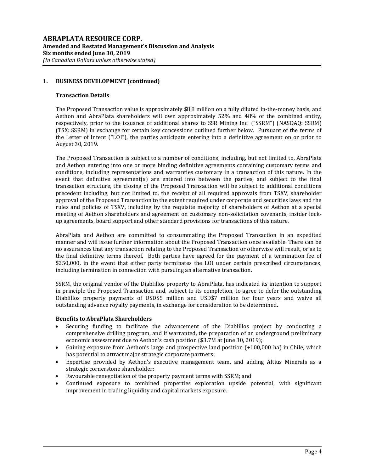# **1. BUSINESS DEVELOPMENT (continued)**

## **Transaction Details**

The Proposed Transaction value is approximately \$8.8 million on a fully diluted in-the-money basis, and Aethon and AbraPlata shareholders will own approximately 52% and 48% of the combined entity, respectively, prior to the issuance of additional shares to SSR Mining Inc. ("SSRM") (NASDAQ: SSRM) (TSX: SSRM) in exchange for certain key concessions outlined further below. Pursuant of the terms of the Letter of Intent ("LOI"), the parties anticipate entering into a definitive agreement on or prior to August 30, 2019.

The Proposed Transaction is subject to a number of conditions, including, but not limited to, AbraPlata and Aethon entering into one or more binding definitive agreements containing customary terms and conditions, including representations and warranties customary in a transaction of this nature. In the event that definitive agreement(s) are entered into between the parties, and subject to the final transaction structure, the closing of the Proposed Transaction will be subject to additional conditions precedent including, but not limited to, the receipt of all required approvals from TSXV, shareholder approval of the Proposed Transaction to the extent required under corporate and securities laws and the rules and policies of TSXV, including by the requisite majority of shareholders of Aethon at a special meeting of Aethon shareholders and agreement on customary non-solicitation covenants, insider lockup agreements, board support and other standard provisions for transactions of this nature.

AbraPlata and Aethon are committed to consummating the Proposed Transaction in an expedited manner and will issue further information about the Proposed Transaction once available. There can be no assurances that any transaction relating to the Proposed Transaction or otherwise will result, or as to the final definitive terms thereof. Both parties have agreed for the payment of a termination fee of \$250,000, in the event that either party terminates the LOI under certain prescribed circumstances, including termination in connection with pursuing an alternative transaction.

SSRM, the original vendor of the Diablillos property to AbraPlata, has indicated its intention to support in principle the Proposed Transaction and, subject to its completion, to agree to defer the outstanding Diablillos property payments of USD\$5 million and USD\$7 million for four years and waive all outstanding advance royalty payments, in exchange for consideration to be determined.

#### **Benefits to AbraPlata Shareholders**

- Securing funding to facilitate the advancement of the Diablillos project by conducting a comprehensive drilling program, and if warranted, the preparation of an underground preliminary economic assessment due to Aethon's cash position (\$3.7M at June 30, 2019);
- Gaining exposure from Aethon's large and prospective land position (+100,000 ha) in Chile, which has potential to attract major strategic corporate partners;
- Expertise provided by Aethon's executive management team, and adding Altius Minerals as a strategic cornerstone shareholder;
- Favourable renegotiation of the property payment terms with SSRM; and
- Continued exposure to combined properties exploration upside potential, with significant improvement in trading liquidity and capital markets exposure.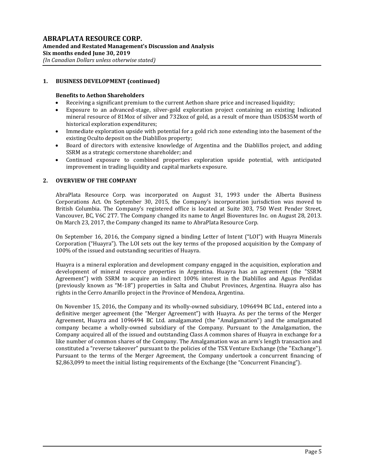# **1. BUSINESS DEVELOPMENT (continued)**

# **Benefits to Aethon Shareholders**

- Receiving a significant premium to the current Aethon share price and increased liquidity;
- Exposure to an advanced-stage, silver-gold exploration project containing an existing Indicated mineral resource of 81Moz of silver and 732koz of gold, as a result of more than USD\$35M worth of historical exploration expenditures;
- Immediate exploration upside with potential for a gold rich zone extending into the basement of the existing Oculto deposit on the Diablillos property;
- Board of directors with extensive knowledge of Argentina and the Diablillos project, and adding SSRM as a strategic cornerstone shareholder; and
- Continued exposure to combined properties exploration upside potential, with anticipated improvement in trading liquidity and capital markets exposure.

## **2. OVERVIEW OF THE COMPANY**

AbraPlata Resource Corp. was incorporated on August 31, 1993 under the Alberta Business Corporations Act. On September 30, 2015, the Company's incorporation jurisdiction was moved to British Columbia. The Company's registered office is located at Suite 303, 750 West Pender Street, Vancouver, BC, V6C 2T7. The Company changed its name to Angel Bioventures Inc. on August 28, 2013. On March 23, 2017, the Company changed its name to AbraPlata Resource Corp.

On September 16, 2016, the Company signed a binding Letter of Intent ("LOI") with Huayra Minerals Corporation ("Huayra"). The LOI sets out the key terms of the proposed acquisition by the Company of 100% of the issued and outstanding securities of Huayra.

Huayra is a mineral exploration and development company engaged in the acquisition, exploration and development of mineral resource properties in Argentina. Huayra has an agreement (the "SSRM Agreement") with SSRM to acquire an indirect 100% interest in the Diablillos and Aguas Perdidas (previously known as "M-18") properties in Salta and Chubut Provinces, Argentina. Huayra also has rights in the Cerro Amarillo project in the Province of Mendoza, Argentina.

On November 15, 2016, the Company and its wholly-owned subsidiary, 1096494 BC Ltd., entered into a definitive merger agreement (the "Merger Agreement") with Huayra. As per the terms of the Merger Agreement, Huayra and 1096494 BC Ltd. amalgamated (the "Amalgamation") and the amalgamated company became a wholly-owned subsidiary of the Company. Pursuant to the Amalgamation, the Company acquired all of the issued and outstanding Class A common shares of Huayra in exchange for a like number of common shares of the Company. The Amalgamation was an arm's length transaction and constituted a "reverse takeover" pursuant to the policies of the TSX Venture Exchange (the "Exchange"). Pursuant to the terms of the Merger Agreement, the Company undertook a concurrent financing of \$2,863,099 to meet the initial listing requirements of the Exchange (the "Concurrent Financing").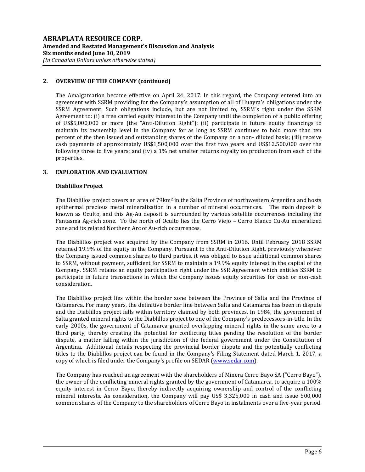# **2. OVERVIEW OF THE COMPANY (continued)**

The Amalgamation became effective on April 24, 2017. In this regard, the Company entered into an agreement with SSRM providing for the Company's assumption of all of Huayra's obligations under the SSRM Agreement. Such obligations include, but are not limited to, SSRM's right under the SSRM Agreement to: (i) a free carried equity interest in the Company until the completion of a public offering of US\$5,000,000 or more (the "Anti-Dilution Right"); (ii) participate in future equity financings to maintain its ownership level in the Company for as long as SSRM continues to hold more than ten percent of the then issued and outstanding shares of the Company on a non- diluted basis; (iii) receive cash payments of approximately US\$1,500,000 over the first two years and US\$12,500,000 over the following three to five years; and (iv) a 1% net smelter returns royalty on production from each of the properties.

# **3. EXPLORATION AND EVALUATION**

## **Diablillos Project**

The Diablillos project covers an area of 79km<sup>2</sup> in the Salta Province of northwestern Argentina and hosts epithermal precious metal mineralization in a number of mineral occurrences. The main deposit is known as Oculto, and this Ag-Au deposit is surrounded by various satellite occurrences including the Fantasma Ag-rich zone. To the north of Oculto lies the Cerro Viejo – Cerro Blanco Cu-Au mineralized zone and its related Northern Arc of Au-rich occurrences.

The Diablillos project was acquired by the Company from SSRM in 2016. Until February 2018 SSRM retained 19.9% of the equity in the Company. Pursuant to the Anti-Dilution Right, previously whenever the Company issued common shares to third parties, it was obliged to issue additional common shares to SSRM, without payment, sufficient for SSRM to maintain a 19.9% equity interest in the capital of the Company. SSRM retains an equity participation right under the SSR Agreement which entitles SSRM to participate in future transactions in which the Company issues equity securities for cash or non-cash consideration.

The Diablillos project lies within the border zone between the Province of Salta and the Province of Catamarca. For many years, the definitive border line between Salta and Catamarca has been in dispute and the Diablillos project falls within territory claimed by both provinces. In 1984, the government of Salta granted mineral rights to the Diablillos project to one of the Company's predecessors-in-title. In the early 2000s, the government of Catamarca granted overlapping mineral rights in the same area, to a third party, thereby creating the potential for conflicting titles pending the resolution of the border dispute, a matter falling within the jurisdiction of the federal government under the Constitution of Argentina. Additional details respecting the provincial border dispute and the potentially conflicting titles to the Diablillos project can be found in the Company's Filing Statement dated March 1, 2017, a copy of which is filed under the Company's profile on SEDAR [\(www.sedar.com\)](http://www.sedar.com/).

The Company has reached an agreement with the shareholders of Minera Cerro Bayo SA ("Cerro Bayo"), the owner of the conflicting mineral rights granted by the government of Catamarca, to acquire a 100% equity interest in Cerro Bayo, thereby indirectly acquiring ownership and control of the conflicting mineral interests. As consideration, the Company will pay US\$ 3,325,000 in cash and issue 500,000 common shares of the Company to the shareholders of Cerro Bayo in instalments over a five-year period.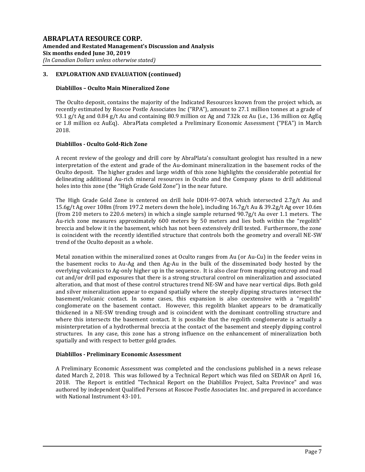## **Diablillos – Oculto Main Mineralized Zone**

The Oculto deposit, contains the majority of the Indicated Resources known from the project which, as recently estimated by Roscoe Postle Associates Inc ("RPA"), amount to 27.1 million tonnes at a grade of 93.1 g/t Ag and 0.84 g/t Au and containing 80.9 million oz Ag and 732k oz Au (i.e., 136 million oz AgEq or 1.8 million oz AuEq). AbraPlata completed a Preliminary Economic Assessment ("PEA") in March 2018.

# **Diablillos - Oculto Gold-Rich Zone**

A recent review of the geology and drill core by AbraPlata's consultant geologist has resulted in a new interpretation of the extent and grade of the Au-dominant mineralization in the basement rocks of the Oculto deposit. The higher grades and large width of this zone highlights the considerable potential for delineating additional Au-rich mineral resources in Oculto and the Company plans to drill additional holes into this zone (the "High Grade Gold Zone") in the near future.

The High Grade Gold Zone is centered on drill hole DDH-97-007A which intersected 2.7g/t Au and 15.6g/t Ag over 108m (from 197.2 meters down the hole), including 16.7g/t Au & 39.2g/t Ag over 10.6m (from 210 meters to 220.6 meters) in which a single sample returned 90.7g/t Au over 1.1 meters. The Au-rich zone measures approximately 600 meters by 50 meters and lies both within the "regolith" breccia and below it in the basement, which has not been extensively drill tested. Furthermore, the zone is coincident with the recently identified structure that controls both the geometry and overall NE-SW trend of the Oculto deposit as a whole.

Metal zonation within the mineralized zones at Oculto ranges from Au (or Au-Cu) in the feeder veins in the basement rocks to Au-Ag and then Ag-Au in the bulk of the disseminated body hosted by the overlying volcanics to Ag-only higher up in the sequence. It is also clear from mapping outcrop and road cut and/or drill pad exposures that there is a strong structural control on mineralization and associated alteration, and that most of these control structures trend NE-SW and have near vertical dips. Both gold and silver mineralization appear to expand spatially where the steeply dipping structures intersect the basement/volcanic contact. In some cases, this expansion is also coextensive with a "regolith" conglomerate on the basement contact. However, this regolith blanket appears to be dramatically thickened in a NE-SW trending trough and is coincident with the dominant controlling structure and where this intersects the basement contact. It is possible that the regolith conglomerate is actually a misinterpretation of a hydrothermal breccia at the contact of the basement and steeply dipping control structures. In any case, this zone has a strong influence on the enhancement of mineralization both spatially and with respect to better gold grades.

# **Diablillos - Preliminary Economic Assessment**

A Preliminary Economic Assessment was completed and the conclusions published in a news release dated March 2, 2018. This was followed by a Technical Report which was filed on SEDAR on April 16, 2018. The Report is entitled "Technical Report on the Diablillos Project, Salta Province" and was authored by independent Qualified Persons at Roscoe Postle Associates Inc. and prepared in accordance with National Instrument 43-101.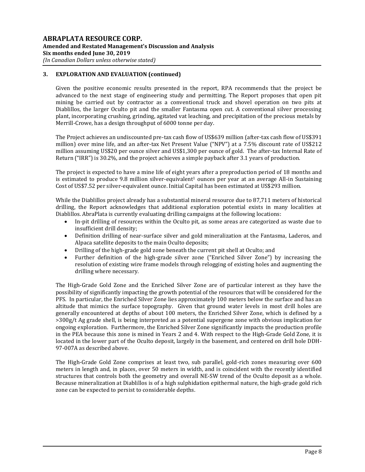Given the positive economic results presented in the report, RPA recommends that the project be advanced to the next stage of engineering study and permitting. The Report proposes that open pit mining be carried out by contractor as a conventional truck and shovel operation on two pits at Diablillos, the larger Oculto pit and the smaller Fantasma open cut. A conventional silver processing plant, incorporating crushing, grinding, agitated vat leaching, and precipitation of the precious metals by Merrill-Crowe, has a design throughput of 6000 tonne per day.

The Project achieves an undiscounted pre-tax cash flow of US\$639 million (after-tax cash flow of US\$391 million) over mine life, and an after-tax Net Present Value ("NPV") at a 7.5% discount rate of US\$212 million assuming US\$20 per ounce silver and US\$1,300 per ounce of gold. The after-tax Internal Rate of Return ("IRR") is 30.2%, and the project achieves a simple payback after 3.1 years of production.

The project is expected to have a mine life of eight years after a preproduction period of 18 months and is estimated to produce 9.8 million silver-equivalent<sup>1</sup> ounces per year at an average All-in Sustaining Cost of US\$7.52 per silver-equivalent ounce. Initial Capital has been estimated at US\$293 million.

While the Diablillos project already has a substantial mineral resource due to 87,711 meters of historical drilling, the Report acknowledges that additional exploration potential exists in many localities at Diablillos. AbraPlata is currently evaluating drilling campaigns at the following locations:

- In-pit drilling of resources within the Oculto pit, as some areas are categorized as waste due to insufficient drill density;
- Definition drilling of near-surface silver and gold mineralization at the Fantasma, Laderos, and Alpaca satellite deposits to the main Oculto deposits;
- Drilling of the high-grade gold zone beneath the current pit shell at Oculto; and
- Further definition of the high-grade silver zone ("Enriched Silver Zone") by increasing the resolution of existing wire frame models through relogging of existing holes and augmenting the drilling where necessary.

The High-Grade Gold Zone and the Enriched Silver Zone are of particular interest as they have the possibility of significantly impacting the growth potential of the resources that will be considered for the PFS. In particular, the Enriched Silver Zone lies approximately 100 meters below the surface and has an altitude that mimics the surface topography. Given that ground water levels in most drill holes are generally encountered at depths of about 100 meters, the Enriched Silver Zone, which is defined by a >300g/t Ag grade shell, is being interpreted as a potential supergene zone with obvious implication for ongoing exploration. Furthermore, the Enriched Silver Zone significantly impacts the production profile in the PEA because this zone is mined in Years 2 and 4. With respect to the High-Grade Gold Zone, it is located in the lower part of the Oculto deposit, largely in the basement, and centered on drill hole DDH-97-007A as described above.

The High-Grade Gold Zone comprises at least two, sub parallel, gold-rich zones measuring over 600 meters in length and, in places, over 50 meters in width, and is coincident with the recently identified structures that controls both the geometry and overall NE-SW trend of the Oculto deposit as a whole. Because mineralization at Diablillos is of a high sulphidation epithermal nature, the high-grade gold rich zone can be expected to persist to considerable depths.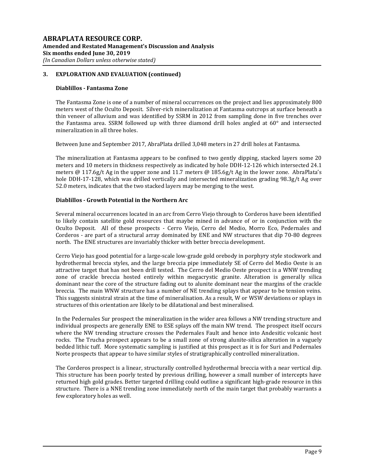## **Diablillos - Fantasma Zone**

The Fantasma Zone is one of a number of mineral occurrences on the project and lies approximately 800 meters west of the Oculto Deposit. Silver-rich mineralization at Fantasma outcrops at surface beneath a thin veneer of alluvium and was identified by SSRM in 2012 from sampling done in five trenches over the Fantasma area. SSRM followed up with three diamond drill holes angled at 60° and intersected mineralization in all three holes.

Between June and September 2017, AbraPlata drilled 3,048 meters in 27 drill holes at Fantasma.

The mineralization at Fantasma appears to be confined to two gently dipping, stacked layers some 20 meters and 10 meters in thickness respectively as indicated by hole DDH-12-126 which intersected 24.1 meters @ 117.6g/t Ag in the upper zone and 11.7 meters @ 185.6g/t Ag in the lower zone. AbraPlata's hole DDH-17-128, which was drilled vertically and intersected mineralization grading 98.3g/t Ag over 52.0 meters, indicates that the two stacked layers may be merging to the west.

## **Diablillos - Growth Potential in the Northern Arc**

Several mineral occurrences located in an arc from Cerro Viejo through to Corderos have been identified to likely contain satellite gold resources that maybe mined in advance of or in conjunction with the Oculto Deposit. All of these prospects - Cerro Viejo, Cerro del Medio, Morro Eco, Pedernales and Corderos - are part of a structural array dominated by ENE and NW structures that dip 70-80 degrees north. The ENE structures are invariably thicker with better breccia development.

Cerro Viejo has good potential for a large-scale low-grade gold orebody in porphyry style stockwork and hydrothermal breccia styles, and the large breccia pipe immediately SE of Cerro del Medio Oeste is an attractive target that has not been drill tested. The Cerro del Medio Oeste prospect is a WNW trending zone of crackle breccia hosted entirely within megacrystic granite. Alteration is generally silica dominant near the core of the structure fading out to alunite dominant near the margins of the crackle breccia. The main WNW structure has a number of NE trending splays that appear to be tension veins. This suggests sinistral strain at the time of mineralisation. As a result, W or WSW deviations or splays in structures of this orientation are likely to be dilatational and best mineralised.

In the Pedernales Sur prospect the mineralization in the wider area follows a NW trending structure and individual prospects are generally ENE to ESE splays off the main NW trend. The prospect itself occurs where the NW trending structure crosses the Pedernales Fault and hence into Andesitic volcanic host rocks. The Trucha prospect appears to be a small zone of strong alunite-silica alteration in a vaguely bedded lithic tuff. More systematic sampling is justified at this prospect as it is for Suri and Pedernales Norte prospects that appear to have similar styles of stratigraphically controlled mineralization.

The Corderos prospect is a linear, structurally controlled hydrothermal breccia with a near vertical dip. This structure has been poorly tested by previous drilling, however a small number of intercepts have returned high gold grades. Better targeted drilling could outline a significant high-grade resource in this structure. There is a NNE trending zone immediately north of the main target that probably warrants a few exploratory holes as well.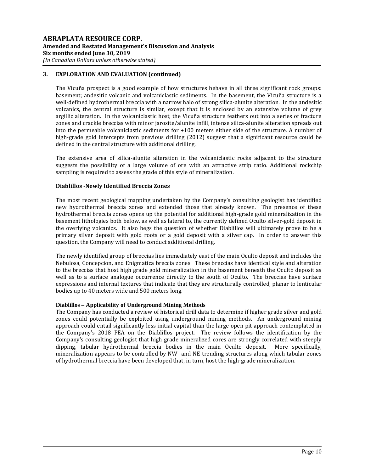The Vicuña prospect is a good example of how structures behave in all three significant rock groups: basement; andesitic volcanic and volcaniclastic sediments. In the basement, the Vicuña structure is a well-defined hydrothermal breccia with a narrow halo of strong silica-alunite alteration. In the andesitic volcanics, the central structure is similar, except that it is enclosed by an extensive volume of grey argillic alteration. In the volcaniclastic host, the Vicuña structure feathers out into a series of fracture zones and crackle breccias with minor jarosite/alunite infill, intense silica-alunite alteration spreads out into the permeable volcaniclastic sediments for +100 meters either side of the structure. A number of high-grade gold intercepts from previous drilling (2012) suggest that a significant resource could be defined in the central structure with additional drilling.

The extensive area of silica-alunite alteration in the volcaniclastic rocks adjacent to the structure suggests the possibility of a large volume of ore with an attractive strip ratio. Additional rockchip sampling is required to assess the grade of this style of mineralization.

# **Diablillos -Newly Identified Breccia Zones**

The most recent geological mapping undertaken by the Company's consulting geologist has identified new hydrothermal breccia zones and extended those that already known. The presence of these hydrothermal breccia zones opens up the potential for additional high-grade gold mineralization in the basement lithologies both below, as well as lateral to, the currently defined Oculto silver-gold deposit in the overlying volcanics. It also begs the question of whether Diablillos will ultimately prove to be a primary silver deposit with gold roots or a gold deposit with a silver cap. In order to answer this question, the Company will need to conduct additional drilling.

The newly identified group of breccias lies immediately east of the main Oculto deposit and includes the Nebulosa, Concepcion, and Enigmatica breccia zones. These breccias have identical style and alteration to the breccias that host high grade gold mineralization in the basement beneath the Oculto deposit as well as to a surface analogue occurrence directly to the south of Oculto. The breccias have surface expressions and internal textures that indicate that they are structurally controlled, planar to lenticular bodies up to 40 meters wide and 500 meters long.

# **Diablillos – Applicability of Underground Mining Methods**

The Company has conducted a review of historical drill data to determine if higher grade silver and gold zones could potentially be exploited using underground mining methods. An underground mining approach could entail significantly less initial capital than the large open pit approach contemplated in the Company's 2018 PEA on the Diablillos project. The review follows the identification by the Company's consulting geologist that high grade mineralized cores are strongly correlated with steeply dipping, tabular hydrothermal breccia bodies in the main Oculto deposit. More specifically, mineralization appears to be controlled by NW- and NE-trending structures along which tabular zones of hydrothermal breccia have been developed that, in turn, host the high-grade mineralization.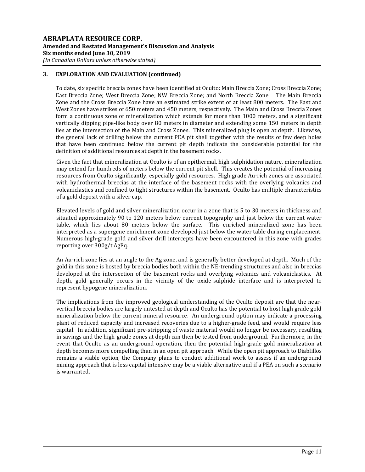To date, six specific breccia zones have been identified at Oculto: Main Breccia Zone; Cross Breccia Zone; East Breccia Zone; West Breccia Zone; NW Breccia Zone; and North Breccia Zone. The Main Breccia Zone and the Cross Breccia Zone have an estimated strike extent of at least 800 meters. The East and West Zones have strikes of 650 meters and 450 meters, respectively. The Main and Cross Breccia Zones form a continuous zone of mineralization which extends for more than 1000 meters, and a significant vertically dipping pipe-like body over 80 meters in diameter and extending some 150 meters in depth lies at the intersection of the Main and Cross Zones. This mineralized plug is open at depth. Likewise, the general lack of drilling below the current PEA pit shell together with the results of few deep holes that have been continued below the current pit depth indicate the considerable potential for the definition of additional resources at depth in the basement rocks.

Given the fact that mineralization at Oculto is of an epithermal, high sulphidation nature, mineralization may extend for hundreds of meters below the current pit shell. This creates the potential of increasing resources from Oculto significantly, especially gold resources. High grade Au-rich zones are associated with hydrothermal breccias at the interface of the basement rocks with the overlying volcanics and volcaniclastics and confined to tight structures within the basement. Oculto has multiple characteristics of a gold deposit with a silver cap.

Elevated levels of gold and silver mineralization occur in a zone that is 5 to 30 meters in thickness and situated approximately 90 to 120 meters below current topography and just below the current water table, which lies about 80 meters below the surface. This enriched mineralized zone has been interpreted as a supergene enrichment zone developed just below the water table during emplacement. Numerous high-grade gold and silver drill intercepts have been encountered in this zone with grades reporting over 300g/t AgEq.

An Au-rich zone lies at an angle to the Ag zone, and is generally better developed at depth. Much of the gold in this zone is hosted by breccia bodies both within the NE-trending structures and also in breccias developed at the intersection of the basement rocks and overlying volcanics and volcaniclastics. At depth, gold generally occurs in the vicinity of the oxide-sulphide interface and is interpreted to represent hypogene mineralization.

The implications from the improved geological understanding of the Oculto deposit are that the nearvertical breccia bodies are largely untested at depth and Oculto has the potential to host high grade gold mineralization below the current mineral resource. An underground option may indicate a processing plant of reduced capacity and increased recoveries due to a higher-grade feed, and would require less capital. In addition, significant pre-stripping of waste material would no longer be necessary, resulting in savings and the high-grade zones at depth can then be tested from underground. Furthermore, in the event that Oculto as an underground operation, then the potential high-grade gold mineralization at depth becomes more compelling than in an open pit approach. While the open pit approach to Diablillos remains a viable option, the Company plans to conduct additional work to assess if an underground mining approach that is less capital intensive may be a viable alternative and if a PEA on such a scenario is warranted.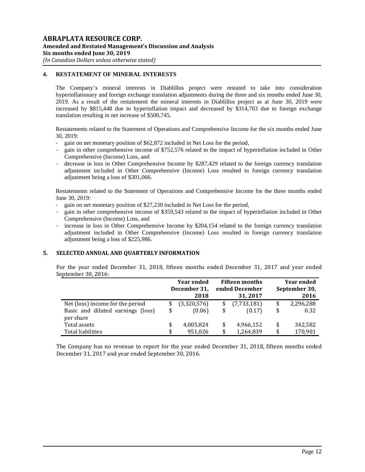# **4. RESTATEMENT OF MINERAL INTERESTS**

The Company's mineral interests in Diablillos project were restated to take into consideration hyperinflationary and foreign exchange translation adjustments during the three and six months ended June 30, 2019. As a result of the restatement the mineral interests in Diablillos project as at June 30, 2019 were increased by \$815,448 due to hyperinflation impact and decreased by \$314,703 due to foreign exchange translation resulting in net increase of \$500,745.

Restatements related to the Statement of Operations and Comprehensive Income for the six months ended June 30, 2019:

- gain on net monetary position of \$62,872 included in Net Loss for the period,
- gain in other comprehensive income of \$752,576 related to the impact of hyperinflation included in Other Comprehensive (Income) Loss, and
- decrease in loss in Other Comprehensive Income by \$287,429 related to the foreign currency translation adjustment included in Other Comprehensive (Income) Loss resulted in foreign currency translation adjustment being a loss of \$301,066.

Restatements related to the Statement of Operations and Comprehensive Income for the three months ended June 30, 2019:

- gain on net monetary position of \$27,230 included in Net Loss for the period,
- gain in other comprehensive income of \$359,543 related to the impact of hyperinflation included in Other Comprehensive (Income) Loss, and
- increase in loss in Other Comprehensive Income by \$204,154 related to the foreign currency translation adjustment included in Other Comprehensive (Income) Loss resulted in foreign currency translation adjustment being a loss of \$225,986.

# **5. SELECTED ANNUAL AND QUARTERLY INFORMATION**

For the year ended December 31, 2018, fifteen months ended December 31, 2017 and year ended September 30, 2016:

|                                                                       | <b>Year ended</b><br>December 31,<br>2018 |          | <b>Fifteen months</b><br>ended December<br>31, 2017 | <b>Year ended</b><br>September 30,<br>2016 |                   |  |
|-----------------------------------------------------------------------|-------------------------------------------|----------|-----------------------------------------------------|--------------------------------------------|-------------------|--|
| Net (loss) income for the period<br>Basic and diluted earnings (loss) | \$<br>(3,320,576)<br>(0.06)               | \$<br>\$ | (7,733,181)<br>(0.17)                               | \$<br>\$                                   | 2,296,288<br>0.32 |  |
| per share<br>Total assets                                             | \$<br>4,005,824                           | \$       | 4,966,152                                           | \$                                         | 342,582           |  |
| Total liabilities                                                     | 951.026                                   | \$       | 1,264,839                                           | \$                                         | 170,901           |  |

The Company has no revenue to report for the year ended December 31, 2018, fifteen months ended December 31, 2017 and year ended September 30, 2016.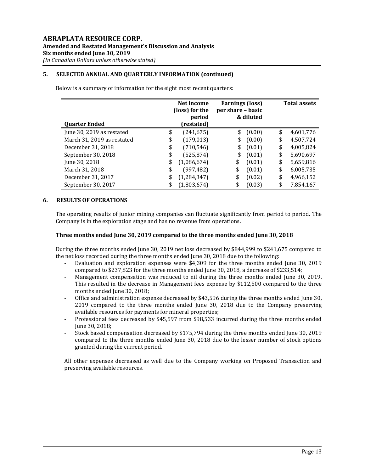# **5. SELECTED ANNUAL AND QUARTERLY INFORMATION (continued)**

Below is a summary of information for the eight most recent quarters:

|                            | Net income<br>(loss) for the<br>period |               | <b>Earnings (loss)</b><br>per share – basic | & diluted | <b>Total assets</b> |           |  |
|----------------------------|----------------------------------------|---------------|---------------------------------------------|-----------|---------------------|-----------|--|
| <b>Quarter Ended</b>       |                                        | (restated)    |                                             |           |                     |           |  |
| June 30, 2019 as restated  | \$                                     | (241, 675)    | \$                                          | (0.00)    | \$                  | 4,601,776 |  |
| March 31, 2019 as restated | \$                                     | (179, 013)    | \$                                          | (0.00)    | \$                  | 4,507,724 |  |
| December 31, 2018          | \$                                     | (710, 546)    | \$                                          | (0.01)    | \$                  | 4,005,824 |  |
| September 30, 2018         | \$                                     | (525, 874)    | \$                                          | (0.01)    | \$                  | 5,690,697 |  |
| June 30, 2018              | \$                                     | (1,086,674)   | \$                                          | (0.01)    | \$                  | 5,659,816 |  |
| March 31, 2018             | \$                                     | (997, 482)    | \$                                          | (0.01)    | \$                  | 6,005,735 |  |
| December 31, 2017          | \$                                     | (1, 284, 347) | \$                                          | (0.02)    | \$                  | 4,966,152 |  |
| September 30, 2017         | \$                                     | (1,803,674)   |                                             | (0.03)    | \$                  | 7,854,167 |  |

## **6. RESULTS OF OPERATIONS**

The operating results of junior mining companies can fluctuate significantly from period to period. The Company is in the exploration stage and has no revenue from operations.

## **Three months ended June 30, 2019 compared to the three months ended June 30, 2018**

During the three months ended June 30, 2019 net loss decreased by \$844,999 to \$241,675 compared to the net loss recorded during the three months ended June 30, 2018 due to the following:

- Evaluation and exploration expenses were \$4,309 for the three months ended June 30, 2019 compared to \$237,823 for the three months ended June 30, 2018, a decrease of \$233,514;
- Management compensation was reduced to nil during the three months ended June 30, 2019. This resulted in the decrease in Management fees expense by \$112,500 compared to the three months ended June 30, 2018;
- Office and administration expense decreased by \$43,596 during the three months ended June 30, 2019 compared to the three months ended June 30, 2018 due to the Company preserving available resources for payments for mineral properties;
- Professional fees decreased by \$45,597 from \$98,533 incurred during the three months ended June 30, 2018;
- Stock based compensation decreased by \$175,794 during the three months ended June 30, 2019 compared to the three months ended June 30, 2018 due to the lesser number of stock options granted during the current period.

All other expenses decreased as well due to the Company working on Proposed Transaction and preserving available resources.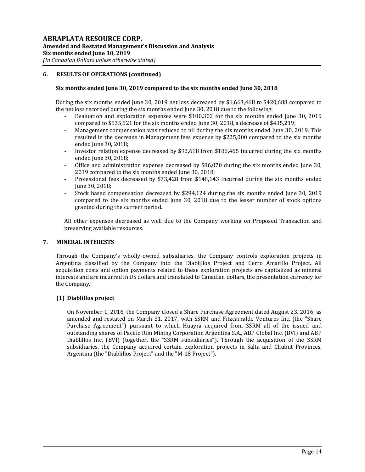# **6. RESULTS OF OPERATIONS (continued)**

## **Six months ended June 30, 2019 compared to the six months ended June 30, 2018**

During the six months ended June 30, 2019 net loss decreased by \$1,663,468 to \$420,688 compared to the net loss recorded during the six months ended June 30, 2018 due to the following:

- Evaluation and exploration expenses were \$100,302 for the six months ended June 30, 2019 compared to \$535,521 for the six months ended June 30, 2018, a decrease of \$435,219;
- Management compensation was reduced to nil during the six months ended June 30, 2019. This resulted in the decrease in Management fees expense by \$225,000 compared to the six months ended June 30, 2018;
- Investor relation expense decreased by \$92,618 from \$186,465 incurred during the six months ended June 30, 2018;
- Office and administration expense decreased by \$86,070 during the six months ended June 30, 2019 compared to the six months ended June 30, 2018;
- Professional fees decreased by \$73,428 from \$148,143 incurred during the six months ended June 30, 2018;
- Stock based compensation decreased by \$294,124 during the six months ended June 30, 2019 compared to the six months ended June 30, 2018 due to the lesser number of stock options granted during the current period.

All other expenses decreased as well due to the Company working on Proposed Transaction and preserving available resources.

#### **7. MINERAL INTERESTS**

Through the Company's wholly-owned subsidiaries, the Company controls exploration projects in Argentina classified by the Company into the Diablillos Project and Cerro Amarillo Project. All acquisition costs and option payments related to these exploration projects are capitalized as mineral interests and are incurred in US dollars and translated to Canadian dollars, the presentation currency for the Company.

# **(1) Diablillos project**

On November 1, 2016, the Company closed a Share Purchase Agreement dated August 23, 2016, as amended and restated on March 31, 2017, with SSRM and Fitzcarraldo Ventures Inc. (the "Share Purchase Agreement") pursuant to which Huayra acquired from SSRM all of the issued and outstanding shares of Pacific Rim Mining Corporation Argentina S.A., ABP Global Inc. (BVI) and ABP Diablillos Inc. (BVI) (together, the "SSRM subsidiaries"). Through the acquisition of the SSRM subsidiaries, the Company acquired certain exploration projects in Salta and Chubut Provinces, Argentina (the "Diablillos Project" and the "M-18 Project").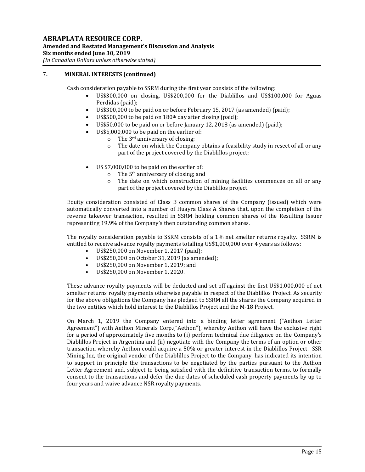Cash consideration payable to SSRM during the first year consists of the following:

- US\$300,000 on closing, US\$200,000 for the Diablillos and US\$100,000 for Aguas Perdidas (paid);
- US\$300,000 to be paid on or before February 15, 2017 (as amended) (paid);
- US\$500,000 to be paid on 180th day after closing (paid);
- US\$50,000 to be paid on or before January 12, 2018 (as amended) (paid);
- US\$5,000,000 to be paid on the earlier of:
	- $\circ$  The 3<sup>rd</sup> anniversary of closing;
	- o The date on which the Company obtains a feasibility study in resect of all or any part of the project covered by the Diablillos project;
- US \$7,000,000 to be paid on the earlier of:
	- $\circ$  The 5<sup>th</sup> anniversary of closing; and
	- o The date on which construction of mining facilities commences on all or any part of the project covered by the Diablillos project.

Equity consideration consisted of Class B common shares of the Company (issued) which were automatically converted into a number of Huayra Class A Shares that, upon the completion of the reverse takeover transaction, resulted in SSRM holding common shares of the Resulting Issuer representing 19.9% of the Company's then outstanding common shares.

The royalty consideration payable to SSRM consists of a 1% net smelter returns royalty. SSRM is entitled to receive advance royalty payments totalling US\$1,000,000 over 4 years as follows:

- US\$250,000 on November 1, 2017 (paid);
- US\$250,000 on October 31, 2019 (as amended);
- US\$250,000 on November 1, 2019; and
- US\$250,000 on November 1, 2020.

These advance royalty payments will be deducted and set off against the first US\$1,000,000 of net smelter returns royalty payments otherwise payable in respect of the Diablillos Project. As security for the above obligations the Company has pledged to SSRM all the shares the Company acquired in the two entities which hold interest to the Diablillos Project and the M-18 Project.

On March 1, 2019 the Company entered into a binding letter agreement ("Aethon Letter Agreement") with Aethon Minerals Corp.("Aethon"), whereby Aethon will have the exclusive right for a period of approximately five months to (i) perform technical due diligence on the Company's Diablillos Project in Argentina and (ii) negotiate with the Company the terms of an option or other transaction whereby Aethon could acquire a 50% or greater interest in the Diablillos Project. SSR Mining Inc, the original vendor of the Diablillos Project to the Company, has indicated its intention to support in principle the transactions to be negotiated by the parties pursuant to the Aethon Letter Agreement and, subject to being satisfied with the definitive transaction terms, to formally consent to the transactions and defer the due dates of scheduled cash property payments by up to four years and waive advance NSR royalty payments.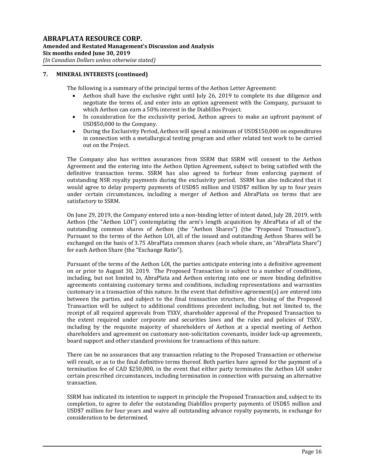The following is a summary of the principal terms of the Aethon Letter Agreement:

- Aethon shall have the exclusive right until July 26, 2019 to complete its due diligence and negotiate the terms of, and enter into an option agreement with the Company, pursuant to which Aethon can earn a 50% interest in the Diablillos Project.
- In consideration for the exclusivity period, Aethon agrees to make an upfront payment of USD\$50,000 to the Company.
- During the Exclusivity Period, Aethon will spend a minimum of USD\$150,000 on expenditures in connection with a metallurgical testing program and other related test work to be carried out on the Project.

The Company also has written assurances from SSRM that SSRM will consent to the Aethon Agreement and the entering into the Aethon Option Agreement, subject to being satisfied with the definitive transaction terms. SSRM has also agreed to forbear from enforcing payment of outstanding NSR royalty payments during the exclusivity period. SSRM has also indicated that it would agree to delay property payments of USD\$5 million and USD\$7 million by up to four years under certain circumstances, including a merger of Aethon and AbraPlata on terms that are satisfactory to SSRM.

On June 29, 2019, the Company entered into a non-binding letter of intent dated, July 28, 2019, with Aethon (the "Aethon LOI") contemplating the arm's length acquisition by AbraPlata of all of the outstanding common shares of Aethon (the "Aethon Shares") (the "Proposed Transaction"). Pursuant to the terms of the Aethon LOI, all of the issued and outstanding Aethon Shares will be exchanged on the basis of 3.75 AbraPlata common shares (each whole share, an "AbraPlata Share") for each Aethon Share (the "Exchange Ratio").

Pursuant of the terms of the Aethon LOI, the parties anticipate entering into a definitive agreement on or prior to August 30, 2019. The Proposed Transaction is subject to a number of conditions, including, but not limited to, AbraPlata and Aethon entering into one or more binding definitive agreements containing customary terms and conditions, including representations and warranties customary in a transaction of this nature. In the event that definitive agreement(s) are entered into between the parties, and subject to the final transaction structure, the closing of the Proposed Transaction will be subject to additional conditions precedent including, but not limited to, the receipt of all required approvals from TSXV, shareholder approval of the Proposed Transaction to the extent required under corporate and securities laws and the rules and policies of TSXV, including by the requisite majority of shareholders of Aethon at a special meeting of Aethon shareholders and agreement on customary non-solicitation covenants, insider lock-up agreements, board support and other standard provisions for transactions of this nature.

There can be no assurances that any transaction relating to the Proposed Transaction or otherwise will result, or as to the final definitive terms thereof. Both parties have agreed for the payment of a termination fee of CAD \$250,000, in the event that either party terminates the Aethon LOI under certain prescribed circumstances, including termination in connection with pursuing an alternative transaction.

SSRM has indicated its intention to support in principle the Proposed Transaction and, subject to its completion, to agree to defer the outstanding Diablillos property payments of USD\$5 million and USD\$7 million for four years and waive all outstanding advance royalty payments, in exchange for consideration to be determined.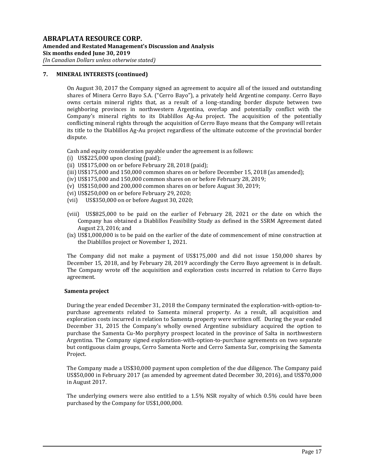On August 30, 2017 the Company signed an agreement to acquire all of the issued and outstanding shares of Minera Cerro Bayo S.A. ("Cerro Bayo"), a privately held Argentine company. Cerro Bayo owns certain mineral rights that, as a result of a long-standing border dispute between two neighboring provinces in northwestern Argentina, overlap and potentially conflict with the Company's mineral rights to its Diablillos Ag-Au project. The acquisition of the potentially conflicting mineral rights through the acquisition of Cerro Bayo means that the Company will retain its title to the Diablillos Ag-Au project regardless of the ultimate outcome of the provincial border dispute.

Cash and equity consideration payable under the agreement is as follows:

- (i) US\$225,000 upon closing (paid);
- (ii) US\$175,000 on or before February 28, 2018 (paid);
- (iii) US\$175,000 and 150,000 common shares on or before December 15, 2018 (as amended);
- (iv) US\$175,000 and 150,000 common shares on or before February 28, 2019;
- (v) US\$150,000 and 200,000 common shares on or before August 30, 2019;
- (vi) US\$250,000 on or before February 29, 2020;
- (vii) US\$350,000 on or before August 30, 2020;
- (viii) US\$825,000 to be paid on the earlier of February 28, 2021 or the date on which the Company has obtained a Diablillos Feasibility Study as defined in the SSRM Agreement dated August 23, 2016; and
- (ix) US\$1,000,000 is to be paid on the earlier of the date of commencement of mine construction at the Diablillos project or November 1, 2021.

The Company did not make a payment of US\$175,000 and did not issue 150,000 shares by December 15, 2018, and by February 28, 2019 accordingly the Cerro Bayo agreement is in default. The Company wrote off the acquisition and exploration costs incurred in relation to Cerro Bayo agreement.

# **Samenta project**

During the year ended December 31, 2018 the Company terminated the exploration-with-option-topurchase agreements related to Samenta mineral property. As a result, all acquisition and exploration costs incurred in relation to Samenta property were written off. During the year ended December 31, 2015 the Company's wholly owned Argentine subsidiary acquired the option to purchase the Samenta Cu-Mo porphyry prospect located in the province of Salta in northwestern Argentina. The Company signed exploration-with-option-to-purchase agreements on two separate but contiguous claim groups, Cerro Samenta Norte and Cerro Samenta Sur, comprising the Samenta Project.

The Company made a US\$30,000 payment upon completion of the due diligence. The Company paid US\$50,000 in February 2017 (as amended by agreement dated December 30, 2016), and US\$70,000 in August 2017.

The underlying owners were also entitled to a 1.5% NSR royalty of which 0.5% could have been purchased by the Company for US\$1,000,000.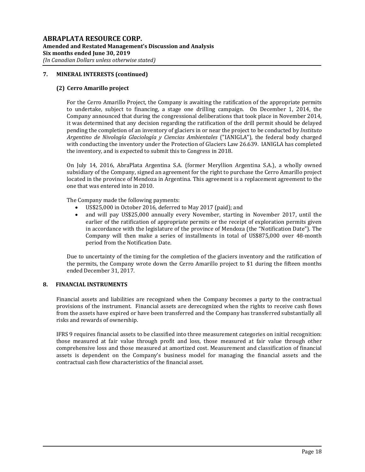# **(2) Cerro Amarillo project**

For the Cerro Amarillo Project, the Company is awaiting the ratification of the appropriate permits to undertake, subject to financing, a stage one drilling campaign. On December 1, 2014, the Company announced that during the congressional deliberations that took place in November 2014, it was determined that any decision regarding the ratification of the drill permit should be delayed pending the completion of an inventory of glaciers in or near the project to be conducted by *Instituto Argentino de Nivología Glaciología y Ciencias Ambientales* ("IANIGLA"), the federal body charged with conducting the inventory under the Protection of Glaciers Law 26.639. IANIGLA has completed the inventory, and is expected to submit this to Congress in 2018.

On July 14, 2016, AbraPlata Argentina S.A. (former Meryllion Argentina S.A.), a wholly owned subsidiary of the Company, signed an agreement for the right to purchase the Cerro Amarillo project located in the province of Mendoza in Argentina. This agreement is a replacement agreement to the one that was entered into in 2010.

The Company made the following payments:

- US\$25,000 in October 2016, deferred to May 2017 (paid); and
- and will pay US\$25,000 annually every November, starting in November 2017, until the earlier of the ratification of appropriate permits or the receipt of exploration permits given in accordance with the legislature of the province of Mendoza (the "Notification Date"). The Company will then make a series of installments in total of US\$875,000 over 48-month period from the Notification Date.

Due to uncertainty of the timing for the completion of the glaciers inventory and the ratification of the permits, the Company wrote down the Cerro Amarillo project to \$1 during the fifteen months ended December 31, 2017.

# **8. FINANCIAL INSTRUMENTS**

Financial assets and liabilities are recognized when the Company becomes a party to the contractual provisions of the instrument. Financial assets are derecognized when the rights to receive cash flows from the assets have expired or have been transferred and the Company has transferred substantially all risks and rewards of ownership.

IFRS 9 requires financial assets to be classified into three measurement categories on initial recognition: those measured at fair value through profit and loss, those measured at fair value through other comprehensive loss and those measured at amortized cost. Measurement and classification of financial assets is dependent on the Company's business model for managing the financial assets and the contractual cash flow characteristics of the financial asset.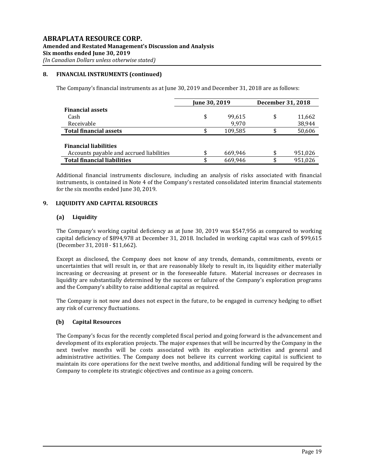## **8. FINANCIAL INSTRUMENTS (continued)**

The Company's financial instruments as at June 30, 2019 and December 31, 2018 are as follows:

|                                          | June 30, 2019 |         | December 31, 2018 |         |
|------------------------------------------|---------------|---------|-------------------|---------|
| <b>Financial assets</b>                  |               |         |                   |         |
| Cash                                     | \$            | 99.615  | \$                | 11,662  |
| Receivable                               |               | 9.970   |                   | 38,944  |
| <b>Total financial assets</b>            |               | 109,585 |                   | 50,606  |
|                                          |               |         |                   |         |
| <b>Financial liabilities</b>             |               |         |                   |         |
| Accounts payable and accrued liabilities | \$.           | 669,946 | \$                | 951,026 |
| <b>Total financial liabilities</b>       | \$            | 669.946 | \$                | 951.026 |

Additional financial instruments disclosure, including an analysis of risks associated with financial instruments, is contained in Note 4 of the Company's restated consolidated interim financial statements for the six months ended June 30, 2019.

## **9. LIQUIDITY AND CAPITAL RESOURCES**

#### **(a) Liquidity**

The Company's working capital deficiency as at June 30, 2019 was \$547,956 as compared to working capital deficiency of \$894,978 at December 31, 2018. Included in working capital was cash of \$99,615 (December 31, 2018 - \$11,662).

Except as disclosed, the Company does not know of any trends, demands, commitments, events or uncertainties that will result in, or that are reasonably likely to result in, its liquidity either materially increasing or decreasing at present or in the foreseeable future. Material increases or decreases in liquidity are substantially determined by the success or failure of the Company's exploration programs and the Company's ability to raise additional capital as required.

The Company is not now and does not expect in the future, to be engaged in currency hedging to offset any risk of currency fluctuations.

#### **(b) Capital Resources**

The Company's focus for the recently completed fiscal period and going forward is the advancement and development of its exploration projects. The major expenses that will be incurred by the Company in the next twelve months will be costs associated with its exploration activities and general and administrative activities. The Company does not believe its current working capital is sufficient to maintain its core operations for the next twelve months, and additional funding will be required by the Company to complete its strategic objectives and continue as a going concern.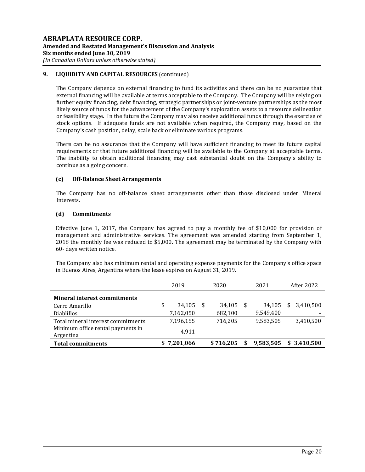# **9. LIQUIDITY AND CAPITAL RESOURCES** (continued)

The Company depends on external financing to fund its activities and there can be no guarantee that external financing will be available at terms acceptable to the Company. The Company will be relying on further equity financing, debt financing, strategic partnerships or joint-venture partnerships as the most likely source of funds for the advancement of the Company's exploration assets to a resource delineation or feasibility stage. In the future the Company may also receive additional funds through the exercise of stock options. If adequate funds are not available when required, the Company may, based on the Company's cash position, delay, scale back or eliminate various programs.

There can be no assurance that the Company will have sufficient financing to meet its future capital requirements or that future additional financing will be available to the Company at acceptable terms. The inability to obtain additional financing may cast substantial doubt on the Company's ability to continue as a going concern.

# **(c) Off-Balance Sheet Arrangements**

The Company has no off-balance sheet arrangements other than those disclosed under Mineral Interests.

# **(d) Commitments**

Effective June 1, 2017, the Company has agreed to pay a monthly fee of \$10,000 for provision of management and administrative services. The agreement was amended starting from September 1, 2018 the monthly fee was reduced to \$5,000. The agreement may be terminated by the Company with 60- days written notice.

The Company also has minimum rental and operating expense payments for the Company's office space in Buenos Aires, Argentina where the lease expires on August 31, 2019.

|                                                | 2019         |      | 2020                     | 2021      |     | After 2022  |
|------------------------------------------------|--------------|------|--------------------------|-----------|-----|-------------|
| <b>Mineral interest commitments</b>            |              |      |                          |           |     |             |
| Cerro Amarillo                                 | \$<br>34.105 | - \$ | 34,105                   | 34,105    | \$. | 3.410.500   |
| <b>Diablillos</b>                              | 7,162,050    |      | 682,100                  | 9,549,400 |     |             |
| Total mineral interest commitments             | 7,196,155    |      | 716.205                  | 9,583,505 |     | 3,410,500   |
| Minimum office rental payments in<br>Argentina | 4.911        |      | $\overline{\phantom{0}}$ |           |     |             |
| <b>Total commitments</b>                       | \$7,201,066  |      | \$716.205                | 9,583,505 |     | \$3.410.500 |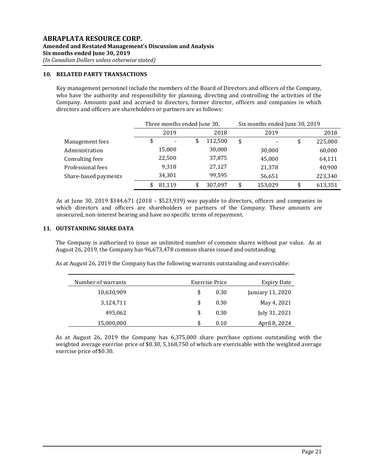## **10. RELATED PARTY TRANSACTIONS**

Key management personnel include the members of the Board of Directors and officers of the Company, who have the authority and responsibility for planning, directing and controlling the activities of the Company. Amounts paid and accrued to directors, former director, officers and companies in which directors and officers are shareholders or partners are as follows:

|                      |      | Three months ended June 30, |      |         |    | Six months ended June 30, 2019 |      |         |  |
|----------------------|------|-----------------------------|------|---------|----|--------------------------------|------|---------|--|
|                      | 2019 |                             | 2018 | 2019    |    |                                | 2018 |         |  |
| Management fees      |      |                             | \$   | 112,500 | \$ |                                | \$   | 225,000 |  |
| Administration       |      | 15,000                      |      | 30,000  |    | 30,000                         |      | 60,000  |  |
| Consulting fees      |      | 22,500                      |      | 37,875  |    | 45,000                         |      | 64,111  |  |
| Professional fees    |      | 9,318                       |      | 27,127  |    | 21,378                         |      | 40,900  |  |
| Share-based payments |      | 34,301                      |      | 99.595  |    | 56,651                         |      | 223,340 |  |
|                      |      | 81,119                      | \$   | 307.097 | \$ | 153,029                        | \$   | 613,351 |  |

As at June 30, 2019 \$344,671 (2018 – \$523,939) was payable to directors, officers and companies in which directors and officers are shareholders or partners of the Company. These amounts are unsecured, non-interest bearing and have no specific terms of repayment.

## **11. OUTSTANDING SHARE DATA**

The Company is authorized to issue an unlimited number of common shares without par value. As at August 26, 2019, the Company has 96,673,478 common shares issued and outstanding.

As at August 26, 2019 the Company has the following warrants outstanding and exercisable:

| Number of warrants | Exercise Price | <b>Expiry Date</b> |                  |
|--------------------|----------------|--------------------|------------------|
| 10,630,909         | \$             | 0.30               | January 11, 2020 |
| 3,124,711          | \$             | 0.30               | May 4, 2021      |
| 495,062            | \$             | 0.30               | July 31, 2021    |
| 15,000,000         | S              | 0.10               | April 8, 2024    |

As at August 26, 2019 the Company has 6,375,000 share purchase options outstanding with the weighted average exercise price of \$0.30, 5,168,750 of which are exercisable with the weighted average exercise price of \$0.30.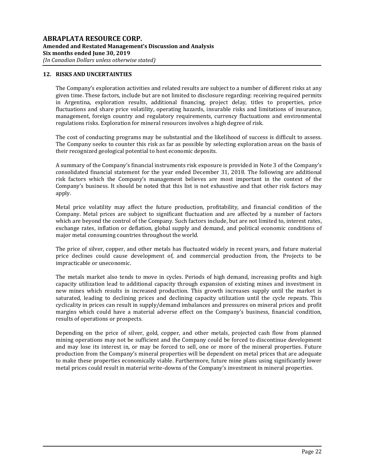# **12. RISKS AND UNCERTAINTIES**

The Company's exploration activities and related results are subject to a number of different risks at any given time. These factors, include but are not limited to disclosure regarding: receiving required permits in Argentina, exploration results, additional financing, project delay, titles to properties, price fluctuations and share price volatility, operating hazards, insurable risks and limitations of insurance, management, foreign country and regulatory requirements, currency fluctuations and environmental regulations risks. Exploration for mineral resources involves a high degree of risk.

The cost of conducting programs may be substantial and the likelihood of success is difficult to assess. The Company seeks to counter this risk as far as possible by selecting exploration areas on the basis of their recognized geological potential to host economic deposits.

A summary of the Company's financial instruments risk exposure is provided in Note 3 of the Company's consolidated financial statement for the year ended December 31, 2018. The following are additional risk factors which the Company's management believes are most important in the context of the Company's business. It should be noted that this list is not exhaustive and that other risk factors may apply.

Metal price volatility may affect the future production, profitability, and financial condition of the Company. Metal prices are subject to significant fluctuation and are affected by a number of factors which are beyond the control of the Company. Such factors include, but are not limited to, interest rates, exchange rates, inflation or deflation, global supply and demand, and political economic conditions of major metal consuming countries throughout the world.

The price of silver, copper, and other metals has fluctuated widely in recent years, and future material price declines could cause development of, and commercial production from, the Projects to be impracticable or uneconomic.

The metals market also tends to move in cycles. Periods of high demand, increasing profits and high capacity utilization lead to additional capacity through expansion of existing mines and investment in new mines which results in increased production. This growth increases supply until the market is saturated, leading to declining prices and declining capacity utilization until the cycle repeats. This cyclicality in prices can result in supply/demand imbalances and pressures on mineral prices and profit margins which could have a material adverse effect on the Company's business, financial condition, results of operations or prospects.

Depending on the price of silver, gold, copper, and other metals, projected cash flow from planned mining operations may not be sufficient and the Company could be forced to discontinue development and may lose its interest in, or may be forced to sell, one or more of the mineral properties. Future production from the Company's mineral properties will be dependent on metal prices that are adequate to make these properties economically viable. Furthermore, future mine plans using significantly lower metal prices could result in material write-downs of the Company's investment in mineral properties.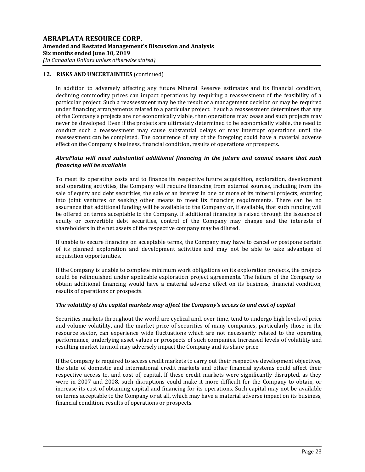In addition to adversely affecting any future Mineral Reserve estimates and its financial condition, declining commodity prices can impact operations by requiring a reassessment of the feasibility of a particular project. Such a reassessment may be the result of a management decision or may be required under financing arrangements related to a particular project. If such a reassessment determines that any of the Company's projects are not economically viable, then operations may cease and such projects may never be developed. Even if the projects are ultimately determined to be economically viable, the need to conduct such a reassessment may cause substantial delays or may interrupt operations until the reassessment can be completed. The occurrence of any of the foregoing could have a material adverse effect on the Company's business, financial condition, results of operations or prospects.

# *AbraPlata will need substantial additional financing in the future and cannot assure that such financing will be available*

To meet its operating costs and to finance its respective future acquisition, exploration, development and operating activities, the Company will require financing from external sources, including from the sale of equity and debt securities, the sale of an interest in one or more of its mineral projects, entering into joint ventures or seeking other means to meet its financing requirements. There can be no assurance that additional funding will be available to the Company or, if available, that such funding will be offered on terms acceptable to the Company. If additional financing is raised through the issuance of equity or convertible debt securities, control of the Company may change and the interests of shareholders in the net assets of the respective company may be diluted.

If unable to secure financing on acceptable terms, the Company may have to cancel or postpone certain of its planned exploration and development activities and may not be able to take advantage of acquisition opportunities.

If the Company is unable to complete minimum work obligations on its exploration projects, the projects could be relinquished under applicable exploration project agreements. The failure of the Company to obtain additional financing would have a material adverse effect on its business, financial condition, results of operations or prospects.

# *The volatility of the capital markets may affect the Company's access to and cost of capital*

Securities markets throughout the world are cyclical and, over time, tend to undergo high levels of price and volume volatility, and the market price of securities of many companies, particularly those in the resource sector, can experience wide fluctuations which are not necessarily related to the operating performance, underlying asset values or prospects of such companies. Increased levels of volatility and resulting market turmoil may adversely impact the Company and its share price.

If the Company is required to access credit markets to carry out their respective development objectives, the state of domestic and international credit markets and other financial systems could affect their respective access to, and cost of, capital. If these credit markets were significantly disrupted, as they were in 2007 and 2008, such disruptions could make it more difficult for the Company to obtain, or increase its cost of obtaining capital and financing for its operations. Such capital may not be available on terms acceptable to the Company or at all, which may have a material adverse impact on its business, financial condition, results of operations or prospects.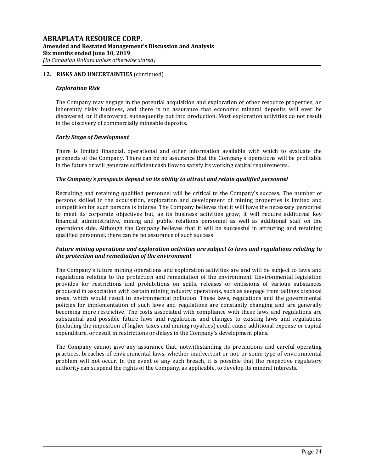## *Exploration Risk*

The Company may engage in the potential acquisition and exploration of other resource properties, an inherently risky business, and there is no assurance that economic mineral deposits will ever be discovered, or if discovered, subsequently put into production. Most exploration activities do not result in the discovery of commercially mineable deposits.

# *Early Stage of Development*

There is limited financial, operational and other information available with which to evaluate the prospects of the Company. There can be no assurance that the Company's operations will be profitable in the future or will generate sufficient cash flow to satisfy its working capital requirements.

## *The Company's prospects depend on its ability to attract and retain qualified personnel*

Recruiting and retaining qualified personnel will be critical to the Company's success. The number of persons skilled in the acquisition, exploration and development of mining properties is limited and competition for such persons is intense. The Company believes that it will have the necessary personnel to meet its corporate objectives but, as its business activities grow, it will require additional key financial, administrative, mining and public relations personnel as well as additional staff on the operations side. Although the Company believes that it will be successful in attracting and retaining qualified personnel, there can be no assurance of such success.

# *Future mining operations and exploration activities are subject to laws and regulations relating to the protection and remediation of the environment*

The Company's future mining operations and exploration activities are and will be subject to laws and regulations relating to the protection and remediation of the environment. Environmental legislation provides for restrictions and prohibitions on spills, releases or emissions of various substances produced in association with certain mining industry operations, such as seepage from tailings disposal areas, which would result in environmental pollution. These laws, regulations and the governmental policies for implementation of such laws and regulations are constantly changing and are generally becoming more restrictive. The costs associated with compliance with these laws and regulations are substantial and possible future laws and regulations and changes to existing laws and regulations (including the imposition of higher taxes and mining royalties) could cause additional expense or capital expenditure, or result in restrictions or delays in the Company's development plans.

The Company cannot give any assurance that, notwithstanding its precautions and careful operating practices, breaches of environmental laws, whether inadvertent or not, or some type of environmental problem will not occur. In the event of any such breach, it is possible that the respective regulatory authority can suspend the rights of the Company, as applicable, to develop its mineral interests.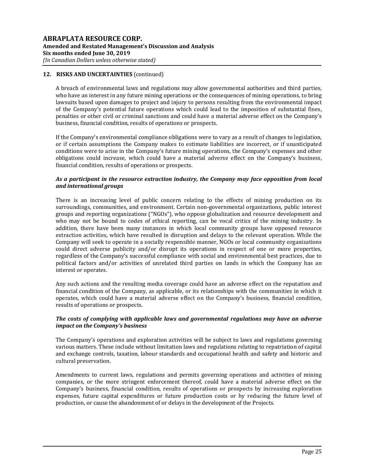A breach of environmental laws and regulations may allow governmental authorities and third parties, who have an interest in any future mining operations or the consequences of mining operations, to bring lawsuits based upon damages to project and injury to persons resulting from the environmental impact of the Company's potential future operations which could lead to the imposition of substantial fines, penalties or other civil or criminal sanctions and could have a material adverse effect on the Company's business, financial condition, results of operations or prospects.

If the Company's environmental compliance obligations were to vary as a result of changes to legislation, or if certain assumptions the Company makes to estimate liabilities are incorrect, or if unanticipated conditions were to arise in the Company's future mining operations, the Company's expenses and other obligations could increase, which could have a material adverse effect on the Company's business, financial condition, results of operations or prospects.

# *As a participant in the resource extraction industry, the Company may face opposition from local and international groups*

There is an increasing level of public concern relating to the effects of mining production on its surroundings, communities, and environment. Certain non-governmental organizations, public interest groups and reporting organizations ("NGOs"), who oppose globalization and resource development and who may not be bound to codes of ethical reporting, can be vocal critics of the mining industry. In addition, there have been many instances in which local community groups have opposed resource extraction activities, which have resulted in disruption and delays to the relevant operation. While the Company will seek to operate in a socially responsible manner, NGOs or local community organizations could direct adverse publicity and/or disrupt its operations in respect of one or more properties, regardless of the Company's successful compliance with social and environmental best practices, due to political factors and/or activities of unrelated third parties on lands in which the Company has an interest or operates.

Any such actions and the resulting media coverage could have an adverse effect on the reputation and financial condition of the Company, as applicable, or its relationships with the communities in which it operates, which could have a material adverse effect on the Company's business, financial condition, results of operations or prospects.

# *The costs of complying with applicable laws and governmental regulations may have an adverse impact on the Company's business*

The Company's operations and exploration activities will be subject to laws and regulations governing various matters. These include without limitation laws and regulations relating to repatriation of capital and exchange controls, taxation, labour standards and occupational health and safety and historic and cultural preservation.

Amendments to current laws, regulations and permits governing operations and activities of mining companies, or the more stringent enforcement thereof, could have a material adverse effect on the Company's business, financial condition, results of operations or prospects by increasing exploration expenses, future capital expenditures or future production costs or by reducing the future level of production, or cause the abandonment of or delays in the development of the Projects.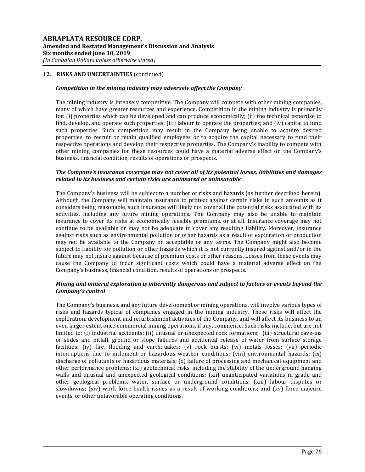## *Competition in the mining industry may adversely affect the Company*

The mining industry is intensely competitive. The Company will compete with other mining companies, many of which have greater resources and experience. Competition in the mining industry is primarily for: (i) properties which can be developed and can produce economically; (ii) the technical expertise to find, develop, and operate such properties; (iii) labour to operate the properties; and (iv) capital to fund such properties. Such competition may result in the Company being unable to acquire desired properties, to recruit or retain qualified employees or to acquire the capital necessary to fund their respective operations and develop their respective properties. The Company's inability to compete with other mining companies for these resources could have a material adverse effect on the Company's business, financial condition, results of operations or prospects.

## *The Company's insurance coverage may not cover all of its potential losses, liabilities and damages related to its business and certain risks are uninsured or uninsurable*

The Company's business will be subject to a number of risks and hazards (as further described herein). Although the Company will maintain insurance to protect against certain risks in such amounts as it considers being reasonable, such insurance will likely not cover all the potential risks associated with its activities, including any future mining operations. The Company may also be unable to maintain insurance to cover its risks at economically feasible premiums, or at all. Insurance coverage may not continue to be available or may not be adequate to cover any resulting liability. Moreover, insurance against risks such as environmental pollution or other hazards as a result of exploration or production may not be available to the Company on acceptable or any terms. The Company might also become subject to liability for pollution or other hazards which it is not currently insured against and/or in the future may not insure against because of premium costs or other reasons. Losses from these events may cause the Company to incur significant costs which could have a material adverse effect on the Company's business, financial condition, results of operations or prospects.

## *Mining and mineral exploration is inherently dangerous and subject to factors or events beyond the Company's control*

The Company's business, and any future development or mining operations, will involve various types of risks and hazards typical of companies engaged in the mining industry. These risks will affect the exploration, development and refurbishment activities of the Company, and will affect its business to an even larger extent once commercial mining operations, if any, commence. Such risks include, but are not limited to: (i) industrial accidents; (ii) unusual or unexpected rock formations; (iii) structural cave-ins or slides and pitfall, ground or slope failures and accidental release of water from surface storage facilities; (iv) fire, flooding and earthquakes; (v) rock bursts; (vi) metals losses; (vii) periodic interruptions due to inclement or hazardous weather conditions; (viii) environmental hazards; (ix) discharge of pollutants or hazardous materials; (x) failure of processing and mechanical equipment and other performance problems; (xi) geotechnical risks, including the stability of the underground hanging walls and unusual and unexpected geological conditions; (xii) unanticipated variations in grade and other geological problems, water, surface or underground conditions; (xiii) labour disputes or slowdowns; (xiv) work force health issues as a result of working conditions; and (xv) force majeure events, or other unfavorable operating conditions.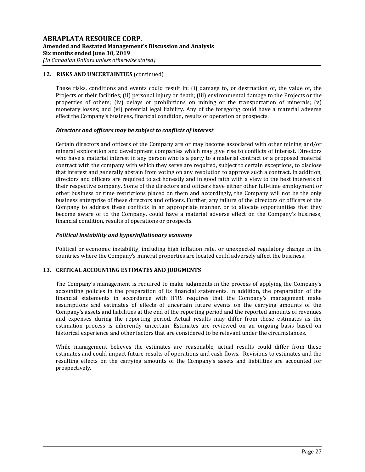These risks, conditions and events could result in: (i) damage to, or destruction of, the value of, the Projects or their facilities; (ii) personal injury or death; (iii) environmental damage to the Projects or the properties of others; (iv) delays or prohibitions on mining or the transportation of minerals; (v) monetary losses; and (vi) potential legal liability. Any of the foregoing could have a material adverse effect the Company's business, financial condition, results of operation or prospects.

## *Directors and officers may be subject to conflicts of interest*

Certain directors and officers of the Company are or may become associated with other mining and/or mineral exploration and development companies which may give rise to conflicts of interest. Directors who have a material interest in any person who is a party to a material contract or a proposed material contract with the company with which they serve are required, subject to certain exceptions, to disclose that interest and generally abstain from voting on any resolution to approve such a contract. In addition, directors and officers are required to act honestly and in good faith with a view to the best interests of their respective company. Some of the directors and officers have either other full-time employment or other business or time restrictions placed on them and accordingly, the Company will not be the only business enterprise of these directors and officers. Further, any failure of the directors or officers of the Company to address these conflicts in an appropriate manner, or to allocate opportunities that they become aware of to the Company, could have a material adverse effect on the Company's business, financial condition, results of operations or prospects.

## *Political instability and hyperinflationary economy*

Political or economic instability, including high inflation rate, or unexpected regulatory change in the countries where the Company's mineral properties are located could adversely affect the business.

# **13. CRITICAL ACCOUNTING ESTIMATES AND JUDGMENTS**

The Company's management is required to make judgments in the process of applying the Company's accounting policies in the preparation of its financial statements. In addition, the preparation of the financial statements in accordance with IFRS requires that the Company's management make assumptions and estimates of effects of uncertain future events on the carrying amounts of the Company's assets and liabilities at the end of the reporting period and the reported amounts of revenues and expenses during the reporting period. Actual results may differ from those estimates as the estimation process is inherently uncertain. Estimates are reviewed on an ongoing basis based on historical experience and other factors that are considered to be relevant under the circumstances.

While management believes the estimates are reasonable, actual results could differ from these estimates and could impact future results of operations and cash flows. Revisions to estimates and the resulting effects on the carrying amounts of the Company's assets and liabilities are accounted for prospectively.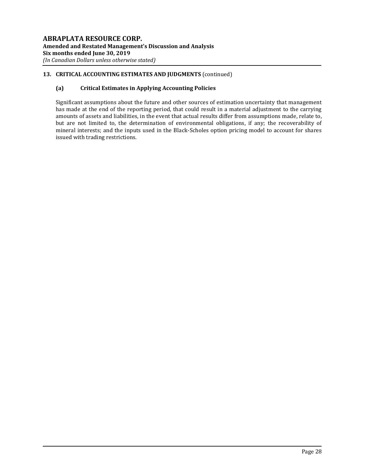# **13. CRITICAL ACCOUNTING ESTIMATES AND JUDGMENTS** (continued)

# **(a) Critical Estimates in Applying Accounting Policies**

Significant assumptions about the future and other sources of estimation uncertainty that management has made at the end of the reporting period, that could result in a material adjustment to the carrying amounts of assets and liabilities, in the event that actual results differ from assumptions made, relate to, but are not limited to, the determination of environmental obligations, if any; the recoverability of mineral interests; and the inputs used in the Black-Scholes option pricing model to account for shares issued with trading restrictions.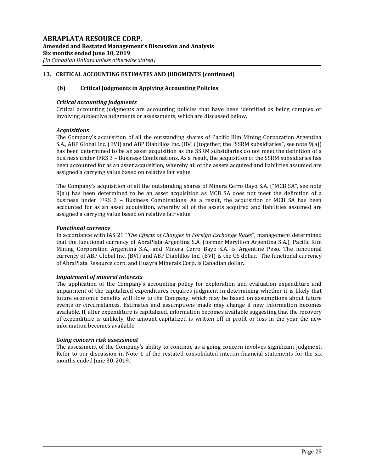# **13. CRITICAL ACCOUNTING ESTIMATES AND JUDGMENTS (continued)**

# **(b) Critical Judgments in Applying Accounting Policies**

# *Critical accounting judgments*

Critical accounting judgments are accounting policies that have been identified as being complex or involving subjective judgments or assessments, which are discussed below.

# *Acquisitions*

The Company's acquisition of all the outstanding shares of Pacific Rim Mining Corporation Argentina S.A., ABP Global Inc. (BVI) and ABP Diablillos Inc. (BVI) (together, the "SSRM subsidiaries", see note 9(a)) has been determined to be an asset acquisition as the SSRM subsidiaries do not meet the definition of a business under IFRS 3 – Business Combinations. As a result, the acquisition of the SSRM subsidiaries has been accounted for as an asset acquisition, whereby all of the assets acquired and liabilities assumed are assigned a carrying value based on relative fair value.

The Company's acquisition of all the outstanding shares of Minera Cerro Bayo S.A. ("MCB SA", see note 9(a)) has been determined to be an asset acquisition as MCB SA does not meet the definition of a business under IFRS 3 – Business Combinations. As a result, the acquisition of MCB SA has been accounted for as an asset acquisition, whereby all of the assets acquired and liabilities assumed are assigned a carrying value based on relative fair value.

# *Functional currency*

In accordance with IAS 21 "*The Effects of Changes in Foreign Exchange Rates*", management determined that the functional currency of AbraPlata Argentina S.A. (former Meryllion Argentina S.A.), Pacific Rim Mining Corporation Argentina S.A., and Minera Cerro Bayo S.A. is Argentine Peso. The functional currency of ABP Global Inc. (BVI) and ABP Diablillos Inc. (BVI) is the US dollar. The functional currency of AbraPlata Resource corp. and Huayra Minerals Corp. is Canadian dollar.

# *Impairment of mineral interests*

The application of the Company's accounting policy for exploration and evaluation expenditure and impairment of the capitalized expenditures requires judgment in determining whether it is likely that future economic benefits will flow to the Company, which may be based on assumptions about future events or circumstances. Estimates and assumptions made may change if new information becomes available. If, after expenditure is capitalized, information becomes available suggesting that the recovery of expenditure is unlikely, the amount capitalized is written off in profit or loss in the year the new information becomes available.

# *Going concern risk assessment*

The assessment of the Company's ability to continue as a going concern involves significant judgment. Refer to our discussion in Note 1 of the restated consolidated interim financial statements for the six months ended June 30, 2019.